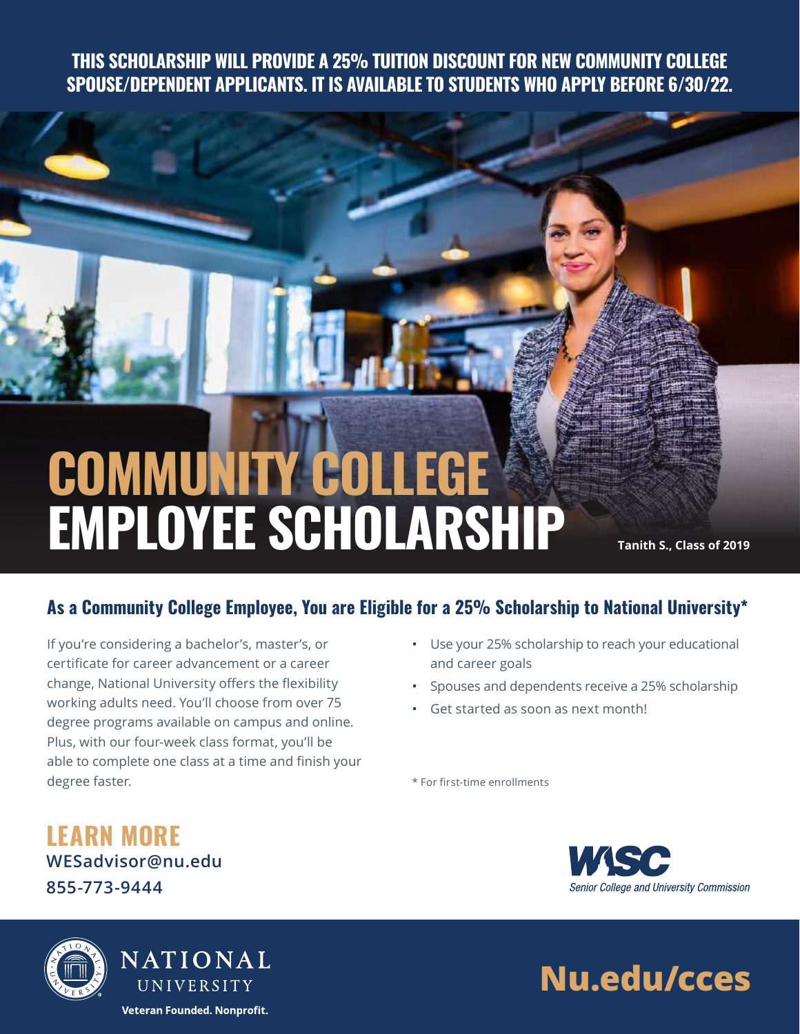**THIS SCHOLARSHIP WILL PROVIDE A 25% TUITION DISCOUNT FOR NEW COMMUNITY COLLEGE SPOUSE/DEPENDENT APPLICANTS. IT IS AVAILABLE TO STUDENTS WHO APPLY BEFORE 6/30/22.**

# **COMMUNITY COLLEGE EMPLOYEE SCHOLARSHIP**

**Tanith S., Class of 2019**

### **As a Community College Employee, You are Eligible for a 25% Scholarship to National University\***

If you're considering a bachelor's, master's, or certificate for career advancement or a career change, National University offers the flexibility working adults need. You'll choose from over 75 degree programs available on campus and online. Plus, with our four-week class format, you'll be able to complete one class at a time and finish your degree faster.

- Use your 25% scholarship to reach your educational and career goals
- Spouses and dependents receive a 25% scholarship
- Get started as soon as next month!

\* For first-time enrollments

## **LEARN MORE [WESadvisor@nu.edu](http://WESadvisor@nu.edu) 855-773-9444**





NATIONAL UNIVERSITY Veteran Founded. Nonprofit.